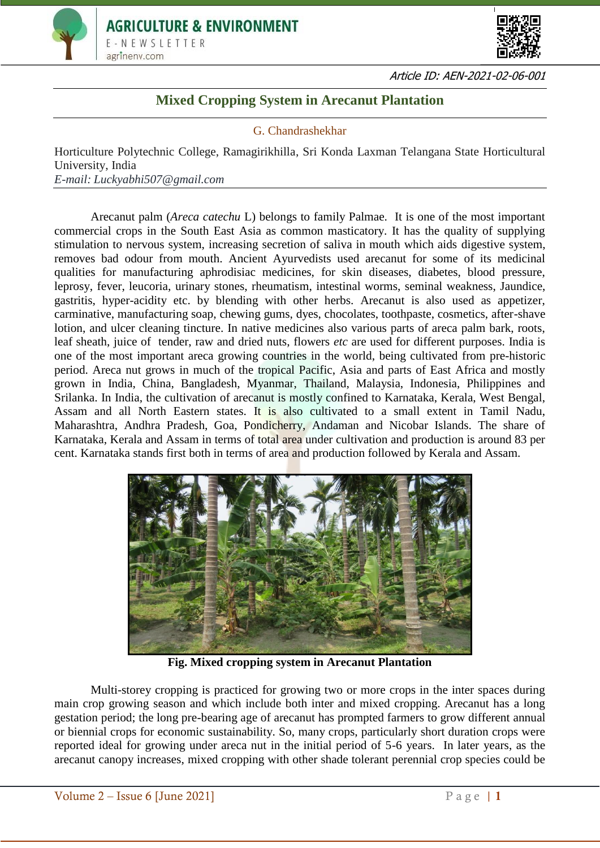



Article ID: AEN-2021-02-06-001

## **Mixed Cropping System in Arecanut Plantation**

## G. Chandrashekhar

Horticulture Polytechnic College, Ramagirikhilla, Sri Konda Laxman Telangana State Horticultural University, India *E-mail: Luckyabhi507@gmail.com*

Arecanut palm (*Areca catechu* L) belongs to family Palmae. It is one of the most important commercial crops in the South East Asia as common masticatory. It has the quality of supplying stimulation to nervous system, increasing secretion of saliva in mouth which aids digestive system, removes bad odour from mouth. Ancient Ayurvedists used arecanut for some of its medicinal qualities for manufacturing aphrodisiac medicines, for skin diseases, diabetes, blood pressure, leprosy, fever, leucoria, urinary stones, rheumatism, intestinal worms, seminal weakness, Jaundice, gastritis, hyper-acidity etc. by blending with other herbs. Arecanut is also used as appetizer, carminative, manufacturing soap, chewing gums, dyes, chocolates, toothpaste, cosmetics, after-shave lotion, and ulcer cleaning tincture. In native medicines also various parts of areca palm bark, roots, leaf sheath, juice of tender, raw and dried nuts, flowers *etc* are used for different purposes. India is one of the most important areca growing countries in the world, being cultivated from pre-historic period. Areca nut grows in much of the tropical Pacific, Asia and parts of East Africa and mostly grown in India, China, Bangladesh, Myanmar, Thailand, Malaysia, Indonesia, Philippines and Srilanka. In India, the cultivation of arecanut is mostly confined to Karnataka, Kerala, West Bengal, Assam and all North Eastern states. It is also cultivated to a small extent in Tamil Nadu, Maharashtra, Andhra Pradesh, Goa, Pondicherry, Andaman and Nicobar Islands. The share of Karnataka, Kerala and Assam in terms of total area under cultivation and production is around 83 per cent. Karnataka stands first both in terms of area and production followed by Kerala and Assam.



**Fig. Mixed cropping system in Arecanut Plantation**

Multi-storey cropping is practiced for growing two or more crops in the inter spaces during main crop growing season and which include both inter and mixed cropping. Arecanut has a long gestation period; the long pre-bearing age of arecanut has prompted farmers to grow different annual or biennial crops for economic sustainability. So, many crops, particularly short duration crops were reported ideal for growing under areca nut in the initial period of 5-6 years. In later years, as the arecanut canopy increases, mixed cropping with other shade tolerant perennial crop species could be